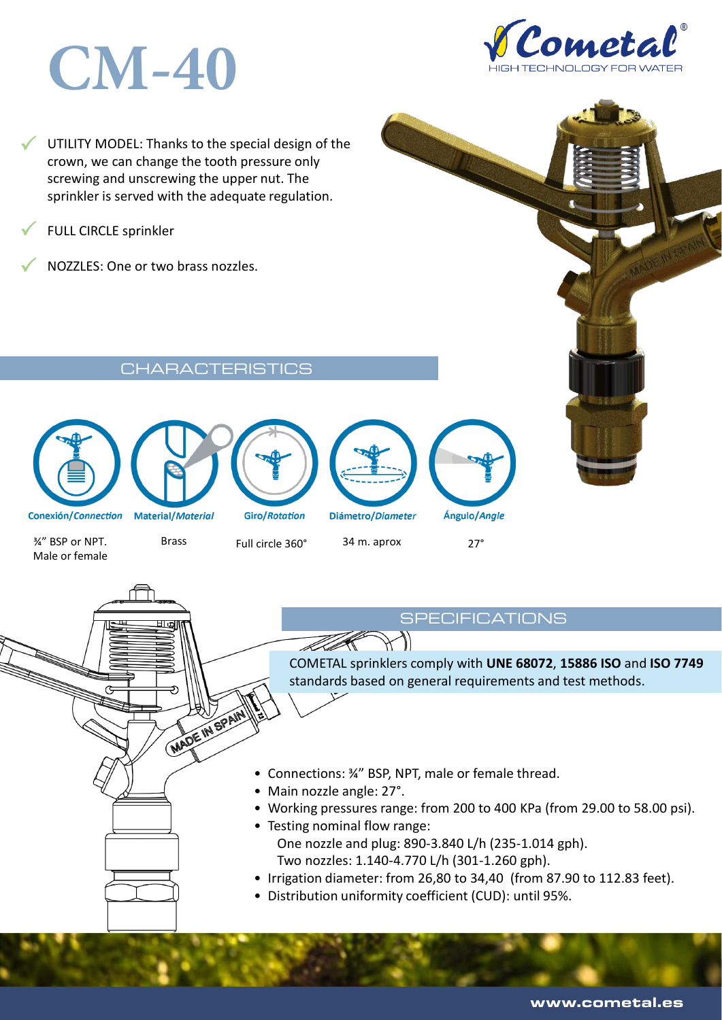# **CM-40**



 $\checkmark$ UTILITY MODEL: Thanks to the special design of the crown, we can change the tooth pressure only screwing and unscrewing the upper nut. The sprinkler is served with the adequate regulation.

 $\checkmark$ FULL CIRCLE sprinkler

 $\checkmark$ NOZZLES: One or two brass nozzles.

Characteristics in the characteristics of the characteristics of the characteristics of the characteristics of











¾" BSP or NPT. Male or female

WADE IN SPAIN

Brass Full circle 360° 34 m. aprox 27°

 $\mathcal{S}$ 

COMETAL sprinklers comply with **UNE 68072**, **15886 ISO** and **ISO 7749**  standards based on general requirements and test methods.

- Connections: ¾" BSP, NPT, male or female thread.
- Main nozzle angle: 27°.

TT D

- Working pressures range: from 200 to 400 KPa (from 29.00 to 58.00 psi).
- Testing nominal flow range: One nozzle and plug: 890-3.840 L/h (235-1.014 gph). Two nozzles: 1.140-4.770 L/h (301-1.260 gph).
- Irrigation diameter: from 26,80 to 34,40 (from 87.90 to 112.83 feet).
- Distribution uniformity coefficient (CUD): until 95%.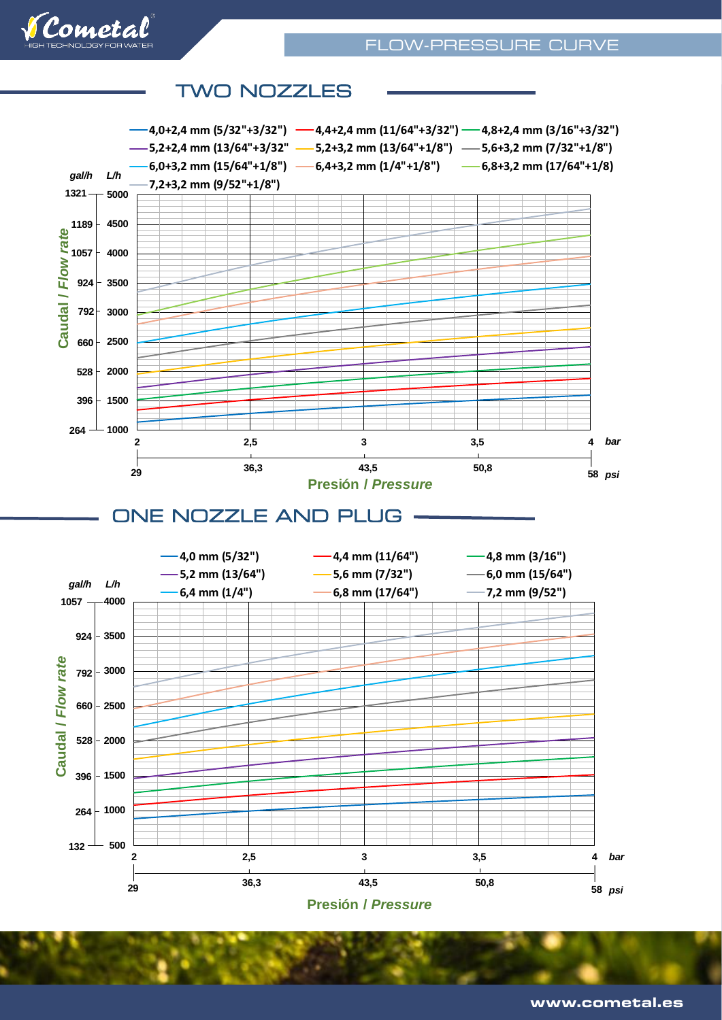

#### 1000<br>
2<br>
2<br>
2<br>
2<br>
2<br>
2<br>
DNE NOZZLE AND PLUG<br>
-6,4 mm (1/4°)<br>
-6,8 mm (1/4°)<br>
-6,8 mm (1/4°)<br>
-6,8 mm (1/4°)<br>
-6,8 mm (1/4°)<br>
-6,8 mm (1/4°)<br>
-6,8 mm (1/4°)<br>
-6,8 mm (1/4°)<br>
-6,8 mm (1/4°)<br>
-7,2 mm (9/52°)<br>
-7,2 mm (9/52°) **1500 2000 2500 3000 3500 4000 4500 5000 <sup>2</sup> 2,5 <sup>3</sup> 3,5 <sup>4</sup> Caudal /** *Flow rate* **Presión /** *Pressure* **29** *psi* **4,0+2,4 mm (5/32"+3/32") 4,4+2,4 mm (11/64"+3/32") 4,8+2,4 mm (3/16"+3/32") 5,2+2,4 mm (13/64"+3/32" 5,2+3,2 mm (13/64"+1/8") 5,6+3,2 mm (7/32"+1/8") 6,0+3,2 mm (15/64"+1/8") 6,4+3,2 mm (1/4"+1/8") 6,8+3,2 mm (17/64"+1/8) 7,2+3,2 mm (9/52"+1/8") 1321 264 528 792** *bar* **36,3 43,5 50,8 <sup>58</sup> 1057 1189 924 660 396** *gal/h L/h*  $-500$ **1000 1500 2000 528 2500 660 3000 3500 4000 <sup>2</sup> 2,5 <sup>3</sup> 3,5 <sup>4</sup> Caudal /** *Flow rate* **Presión /** *Pressure* **4,0 mm (5/32") 4,4 mm (11/64") 4,8 mm (3/16") 5,2 mm (13/64") 5,6 mm (7/32") 6,0 mm (15/64") 6,4 mm (1/4") 6,8 mm (17/64") 7,2 mm (9/52") 1057 132 264 396** *bar* **29** *psi* **36,3 43,5 50,8 <sup>58</sup> 792 924** *gal/h L/h* TWO NOZZLES EST EST ELECTRICITY CONTROL ONE NOZZLE AND PLUG AND PLUG

## **TWO NOZZLES**